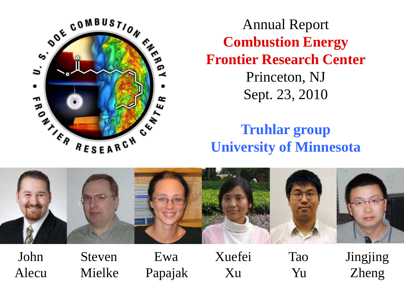

Annual Report **Combustion Energy Frontier Research Center** Princeton, NJ Sept. 23, 2010

# **Truhlar group University of Minnesota**



John Steven Ewa Xuefei Tao Jingjing Alecu Mielke Papajak Xu Yu Zheng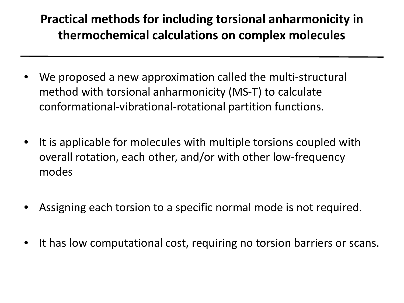## **Practical methods for including torsional anharmonicity in thermochemical calculations on complex molecules**

- We proposed a new approximation called the multi-structural method with torsional anharmonicity (MS-T) to calculate conformational-vibrational-rotational partition functions.
- It is applicable for molecules with multiple torsions coupled with overall rotation, each other, and/or with other low-frequency modes
- Assigning each torsion to a specific normal mode is not required.
- It has low computational cost, requiring no torsion barriers or scans.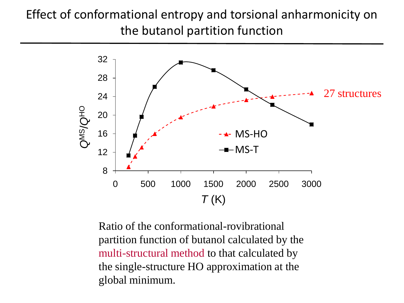# Effect of conformational entropy and torsional anharmonicity on the butanol partition function



Ratio of the conformational-rovibrational partition function of butanol calculated by the multi-structural method to that calculated by the single-structure HO approximation at the global minimum.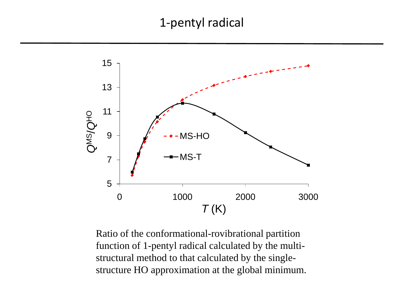#### 1-pentyl radical



Ratio of the conformational-rovibrational partition function of 1-pentyl radical calculated by the multistructural method to that calculated by the singlestructure HO approximation at the global minimum.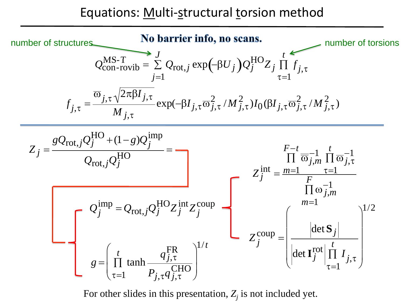#### Equations: Multi-structural torsion method



For other slides in this presentation,  $Z_i$  is not included yet.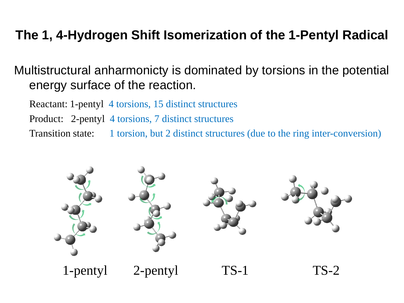# **The 1, 4-Hydrogen Shift Isomerization of the 1-Pentyl Radical**

Multistructural anharmonicty is dominated by torsions in the potential energy surface of the reaction.

Reactant: 1-pentyl 4 torsions, 15 distinct structures

Product: 2-pentyl 4 torsions, 7 distinct structures

Transition state: 1 torsion, but 2 distinct structures (due to the ring inter-conversion)

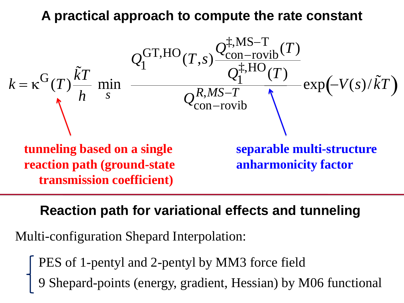### **A practical approach to compute the rate constant**



#### **Reaction path for variational effects and tunneling**

Multi-configuration Shepard Interpolation:

- PES of 1-pentyl and 2-pentyl by MM3 force field
- 9 Shepard-points (energy, gradient, Hessian) by M06 functional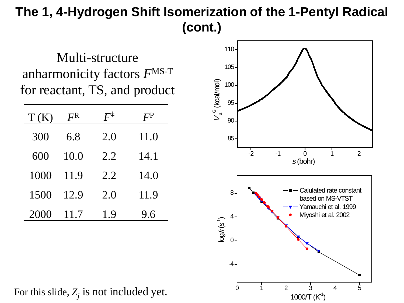# **The 1, 4-Hydrogen Shift Isomerization of the 1-Pentyl Radical (cont.)**

Multi-structure anharmonicity factors *F*MS-T for reactant, TS, and product

| T(K) | F <sup>R</sup> | $F^{\ddagger}$ | $F^{\rm P}$ |
|------|----------------|----------------|-------------|
| 300  | 6.8            | 2.0            | 11.0        |
| 600  | 10.0           | 2.2            | 14.1        |
| 1000 | 11.9           | 2.2            | 14.0        |
| 1500 | 12.9           | 2.0            | 11.9        |
| 2000 | 11.7           | 1.9            | 9.6         |



For this slide,  $Z_j$  is not included yet.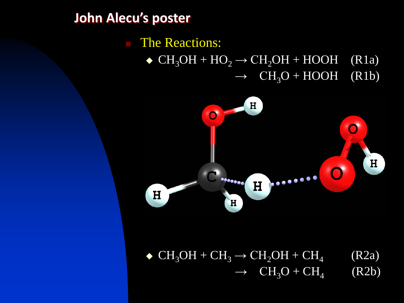#### **John Alecu's poster**

# The Reactions:  $\bullet$  CH<sub>3</sub>OH + HO<sub>2</sub>  $\rightarrow$  CH<sub>2</sub>OH + HOOH (R1a)  $\rightarrow$  CH<sub>3</sub>O + HOOH (R1b)



 $\bullet$  CH<sub>3</sub>OH + CH<sub>3</sub>  $\rightarrow$  CH<sub>2</sub>OH + CH<sub>4</sub> (R2a)  $\rightarrow$  CH<sub>3</sub>O + CH<sub>4</sub> (R2b)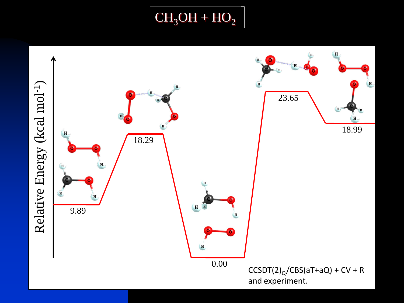

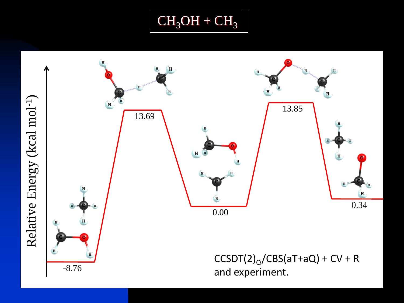

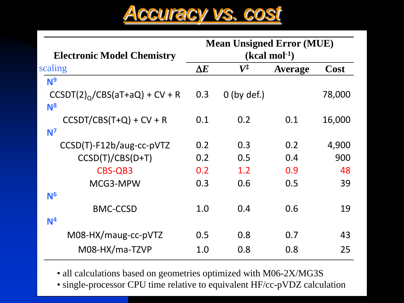

| <b>Mean Unsigned Error (MUE)</b> |  |  |  |
|----------------------------------|--|--|--|
| $(kcal mol-1)$                   |  |  |  |
| Cost<br><b>Average</b>           |  |  |  |
|                                  |  |  |  |
| 78,000                           |  |  |  |
|                                  |  |  |  |
| 0.1<br>16,000                    |  |  |  |
|                                  |  |  |  |
| 0.2<br>4,900                     |  |  |  |
| 900<br>0.4                       |  |  |  |
| 48<br>0.9                        |  |  |  |
| 0.5<br>39                        |  |  |  |
|                                  |  |  |  |
| 0.6<br>19                        |  |  |  |
|                                  |  |  |  |
| 43<br>0.7                        |  |  |  |
| 25<br>0.8                        |  |  |  |
|                                  |  |  |  |

• all calculations based on geometries optimized with M06-2X/MG3S

• single-processor CPU time relative to equivalent HF/cc-pVDZ calculation